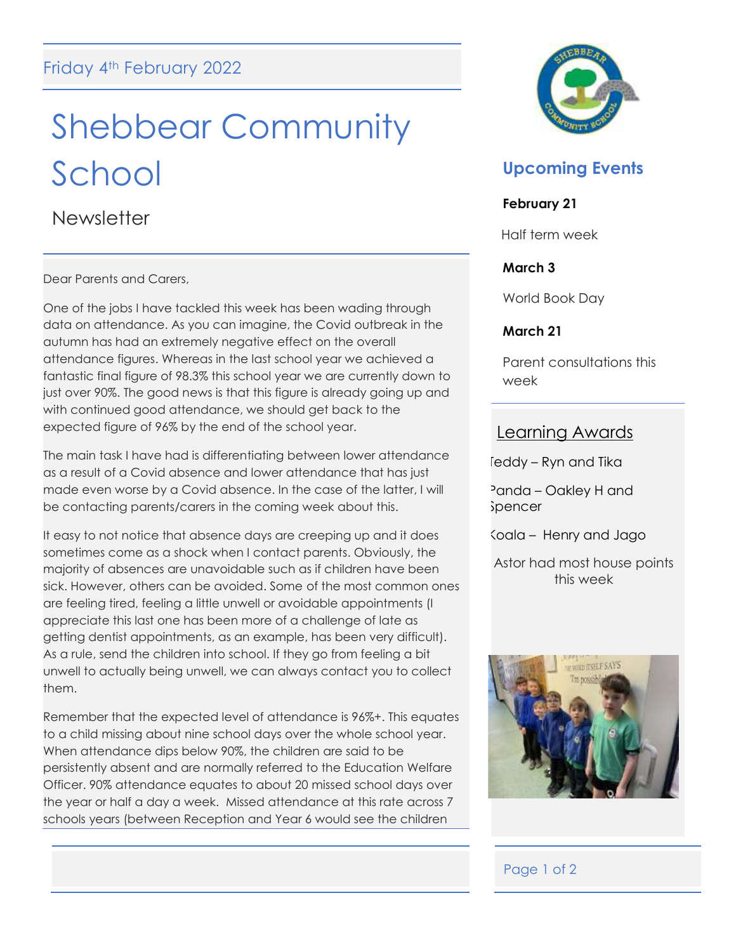# Shebbear Community School

**Newsletter** 

Dear Parents and Carers,

One of the jobs I have tackled this week has been wading through data on attendance. As you can imagine, the Covid outbreak in the autumn has had an extremely negative effect on the overall attendance figures. Whereas in the last school year we achieved a fantastic final figure of 98.3% this school year we are currently down to just over 90%. The good news is that this figure is already going up and with continued good attendance, we should get back to the expected figure of 96% by the end of the school year.

The main task I have had is differentiating between lower attendance as a result of a Covid absence and lower attendance that has just made even worse by a Covid absence. In the case of the latter, I will be contacting parents/carers in the coming week about this.

It easy to not notice that absence days are creeping up and it does sometimes come as a shock when I contact parents. Obviously, the majority of absences are unavoidable such as if children have been sick. However, others can be avoided. Some of the most common ones are feeling tired, feeling a little unwell or avoidable appointments (I appreciate this last one has been more of a challenge of late as getting dentist appointments, as an example, has been very difficult). As a rule, send the children into school. If they go from feeling a bit unwell to actually being unwell, we can always contact you to collect them.

Remember that the expected level of attendance is 96%+. This equates to a child missing about nine school days over the whole school year. When attendance dips below 90%, the children are said to be persistently absent and are normally referred to the Education Welfare Officer. 90% attendance equates to about 20 missed school days over the year or half a day a week. Missed attendance at this rate across 7 schools years (between Reception and Year 6 would see the children



## **Upcoming Events**

## **February 21**

Half term week

## **March 3**

World Book Day

## **March 21**

Parent consultations this week

## Learning Awards

Teddy – Ryn and Tika

Panda – Oakley H and Spencer

Koala – Henry and Jago

Astor had most house points this week



## Page 1 of 2